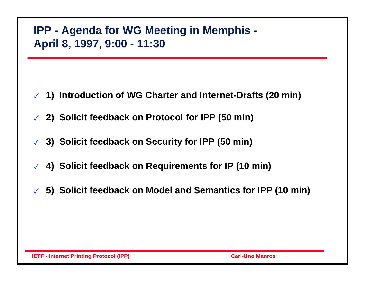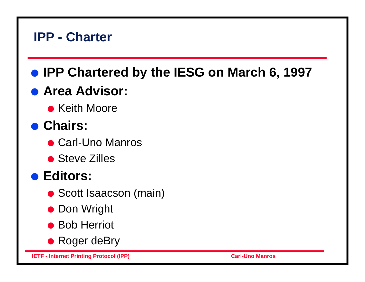# **• IPP Chartered by the IESG on March 6, 1997**

# **.** Area Advisor:

**• Keith Moore** 

# **.** Chairs:

- Carl-Uno Manros
- Steve Zilles

## **e** Editors:

- Scott Isaacson (main)
- **Don Wright**
- Bob Herriot
- Roger deBry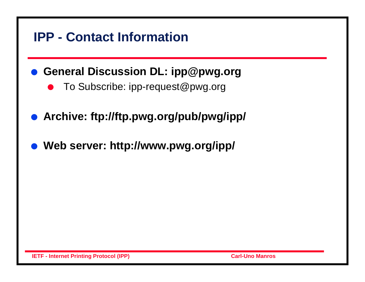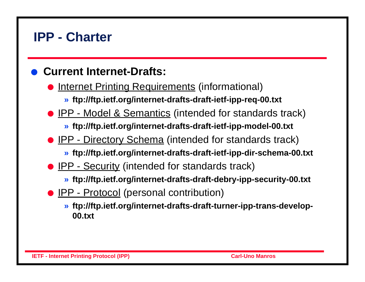#### l **Current Internet-Drafts:**

- Internet Printing Requirements (informational)
	- **» ftp://ftp.ietf.org/internet-drafts-draft-ietf-ipp-req-00.txt**
- **IPP Model & Semantics (intended for standards track)** 
	- **» ftp://ftp.ietf.org/internet-drafts-draft-ietf-ipp-model-00.txt**
- **D** IPP Directory Schema (intended for standards track)
	- **» ftp://ftp.ietf.org/internet-drafts-draft-ietf-ipp-dir-schema-00.txt**
- IPP Security (intended for standards track)
	- **» ftp://ftp.ietf.org/internet-drafts-draft-debry-ipp-security-00.txt**
- **IPP Protocol** (personal contribution)
	- **» ftp://ftp.ietf.org/internet-drafts-draft-turner-ipp-trans-develop-00.txt**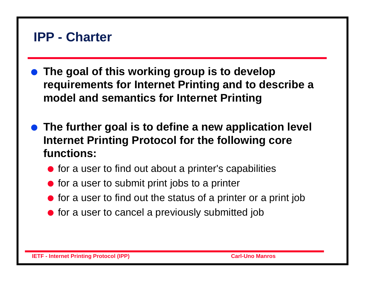- The goal of this working group is to develop **requirements for Internet Printing and to describe a model and semantics for Internet Printing**
- **The further goal is to define a new application level Internet Printing Protocol for the following core functions:**
	- $\bullet$  for a user to find out about a printer's capabilities
	- $\bullet$  for a user to submit print jobs to a printer
	- $\bullet$  for a user to find out the status of a printer or a print job
	- $\bullet$  for a user to cancel a previously submitted job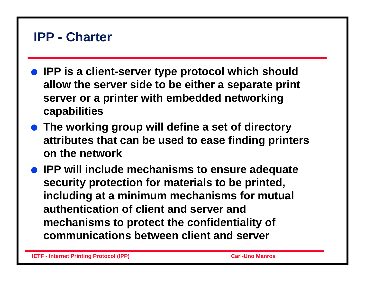- **IPP is a client-server type protocol which should allow the server side to be either a separate print server or a printer with embedded networking capabilities**
- **The working group will define a set of directory attributes that can be used to ease finding printers on the network**
- **IPP will include mechanisms to ensure adequate security protection for materials to be printed, including at a minimum mechanisms for mutual authentication of client and server and mechanisms to protect the confidentiality of communications between client and server**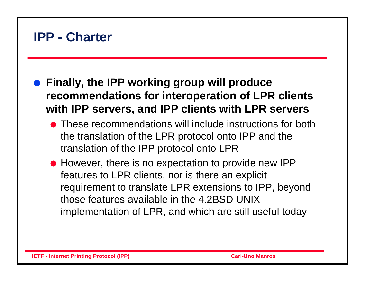- **Finally, the IPP working group will produce recommendations for interoperation of LPR clients with IPP servers, and IPP clients with LPR servers**
	- **If These recommendations will include instructions for both** the translation of the LPR protocol onto IPP and the translation of the IPP protocol onto LPR
	- However, there is no expectation to provide new IPP features to LPR clients, nor is there an explicit requirement to translate LPR extensions to IPP, beyond those features available in the 4.2BSD UNIX implementation of LPR, and which are still useful today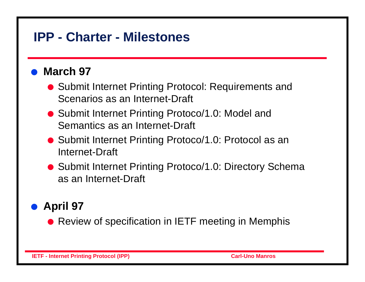## **IPP - Charter - Milestones**

#### l **March 97**

- Submit Internet Printing Protocol: Requirements and Scenarios as an Internet-Draft
- Submit Internet Printing Protoco/1.0: Model and Semantics as an Internet-Draft
- Submit Internet Printing Protoco/1.0: Protocol as an Internet-Draft
- Submit Internet Printing Protoco/1.0: Directory Schema as an Internet-Draft

### l **April 97**

• Review of specification in IETF meeting in Memphis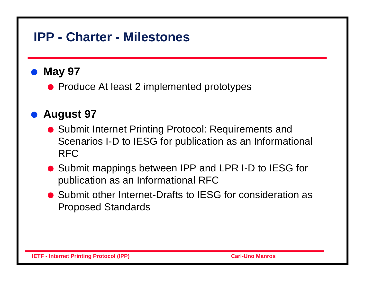## **IPP - Charter - Milestones**

#### l **May 97**

• Produce At least 2 implemented prototypes

### l **August 97**

- Submit Internet Printing Protocol: Requirements and Scenarios I-D to IESG for publication as an Informational RFC
- Submit mappings between IPP and LPR I-D to IESG for publication as an Informational RFC
- Submit other Internet-Drafts to IESG for consideration as Proposed Standards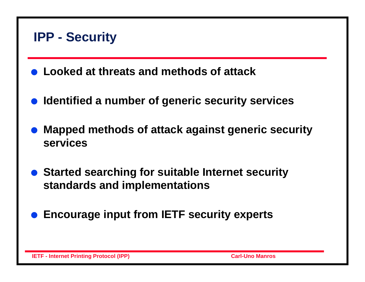### **IPP - Security**

- l **Looked at threats and methods of attack**
- l **Identified a number of generic security services**
- l **Mapped methods of attack against generic security services**
- **Started searching for suitable Internet security standards and implementations**
- l **Encourage input from IETF security experts**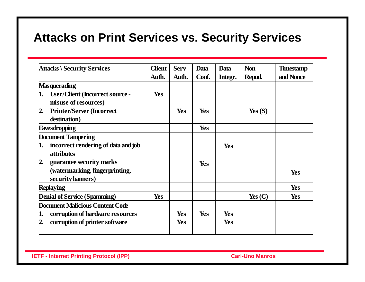### **Attacks on Print Services vs. Security Services**

| <b>Attacks \ Security Services</b>           | <b>Client</b> | <b>Serv</b> | <b>Data</b> | Data       | <b>Non</b> | <b>Timestamp</b> |
|----------------------------------------------|---------------|-------------|-------------|------------|------------|------------------|
|                                              | Auth.         | Auth.       | Conf.       | Integr.    | Repud.     | and Nonce        |
| <b>Masquerading</b>                          |               |             |             |            |            |                  |
| <b>User/Client (Incorrect source -</b><br>1. | Yes           |             |             |            |            |                  |
| misuse of resources)                         |               |             |             |            |            |                  |
| <b>Printer/Server (Incorrect)</b><br>2.      |               | Yes         | <b>Yes</b>  |            | Yes $(S)$  |                  |
| destination)                                 |               |             |             |            |            |                  |
| <b>Eavesdropping</b>                         |               |             | Yes         |            |            |                  |
| <b>Document Tampering</b>                    |               |             |             |            |            |                  |
| incorrect rendering of data and job<br>1.    |               |             |             | Yes        |            |                  |
| <i>attributes</i>                            |               |             |             |            |            |                  |
| guarantee security marks<br>2.               |               |             | <b>Yes</b>  |            |            |                  |
| (watermarking, fingerprinting,               |               |             |             |            |            | Yes              |
| security banners)                            |               |             |             |            |            |                  |
| <b>Replaying</b>                             |               |             |             |            |            | <b>Yes</b>       |
| <b>Denial of Service (Spamming)</b>          | <b>Yes</b>    |             |             |            | Yes $(C)$  | Yes              |
| <b>Document Malicious Content Code</b>       |               |             |             |            |            |                  |
| corruption of hardware resources             |               | Yes         | Yes         | Yes        |            |                  |
| corruption of printer software               |               | <b>Yes</b>  |             | <b>Yes</b> |            |                  |
|                                              |               |             |             |            |            |                  |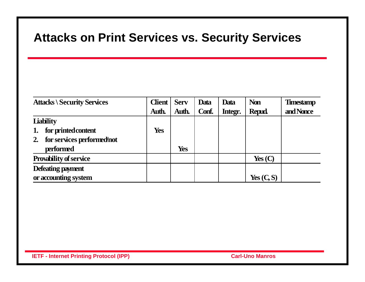### **Attacks on Print Services vs. Security Services**

| <b>Attacks \ Security Services</b> | <b>Client</b> | <b>Serv</b> | Data  | Data    | <b>Non</b>    | <b>Timestamp</b> |
|------------------------------------|---------------|-------------|-------|---------|---------------|------------------|
|                                    | Auth.         | Auth.       | Conf. | Integr. | <b>Repud.</b> | and Nonce        |
| <b>Liability</b>                   |               |             |       |         |               |                  |
| for printed content<br>1.          | Yes           |             |       |         |               |                  |
| for services performed not<br>2.   |               |             |       |         |               |                  |
| performed                          |               | <b>Yes</b>  |       |         |               |                  |
| <b>Provability of service</b>      |               |             |       |         | Yes $(C)$     |                  |
| Defeating payment                  |               |             |       |         |               |                  |
| or accounting system               |               |             |       |         | Yes $(C, S)$  |                  |